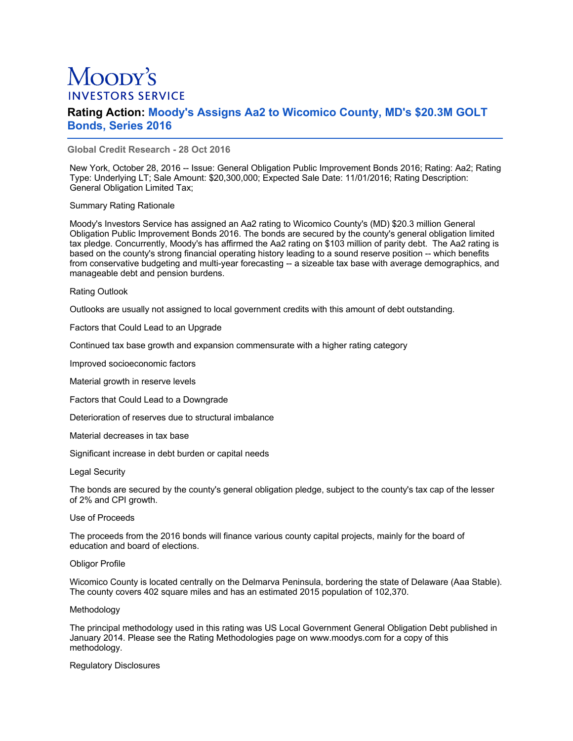# Moopy's **INVESTORS SERVICE**

# **Rating Action: Moody's Assigns Aa2 to Wicomico County, MD's \$20.3M GOLT Bonds, Series 2016**

### **Global Credit Research - 28 Oct 2016**

New York, October 28, 2016 -- Issue: General Obligation Public Improvement Bonds 2016; Rating: Aa2; Rating Type: Underlying LT; Sale Amount: \$20,300,000; Expected Sale Date: 11/01/2016; Rating Description: General Obligation Limited Tax;

#### Summary Rating Rationale

Moody's Investors Service has assigned an Aa2 rating to Wicomico County's (MD) \$20.3 million General Obligation Public Improvement Bonds 2016. The bonds are secured by the county's general obligation limited tax pledge. Concurrently, Moody's has affirmed the Aa2 rating on \$103 million of parity debt. The Aa2 rating is based on the county's strong financial operating history leading to a sound reserve position -- which benefits from conservative budgeting and multi-year forecasting -- a sizeable tax base with average demographics, and manageable debt and pension burdens.

#### Rating Outlook

Outlooks are usually not assigned to local government credits with this amount of debt outstanding.

Factors that Could Lead to an Upgrade

Continued tax base growth and expansion commensurate with a higher rating category

Improved socioeconomic factors

Material growth in reserve levels

Factors that Could Lead to a Downgrade

Deterioration of reserves due to structural imbalance

Material decreases in tax base

Significant increase in debt burden or capital needs

Legal Security

The bonds are secured by the county's general obligation pledge, subject to the county's tax cap of the lesser of 2% and CPI growth.

## Use of Proceeds

The proceeds from the 2016 bonds will finance various county capital projects, mainly for the board of education and board of elections.

#### Obligor Profile

Wicomico County is located centrally on the Delmarva Peninsula, bordering the state of Delaware (Aaa Stable). The county covers 402 square miles and has an estimated 2015 population of 102,370.

#### Methodology

The principal methodology used in this rating was US Local Government General Obligation Debt published in January 2014. Please see the Rating Methodologies page on www.moodys.com for a copy of this methodology.

#### Regulatory Disclosures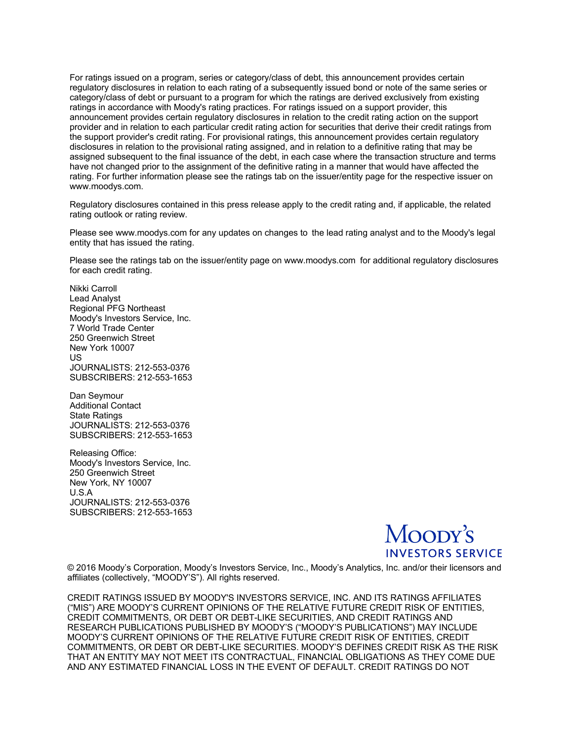For ratings issued on a program, series or category/class of debt, this announcement provides certain regulatory disclosures in relation to each rating of a subsequently issued bond or note of the same series or category/class of debt or pursuant to a program for which the ratings are derived exclusively from existing ratings in accordance with Moody's rating practices. For ratings issued on a support provider, this announcement provides certain regulatory disclosures in relation to the credit rating action on the support provider and in relation to each particular credit rating action for securities that derive their credit ratings from the support provider's credit rating. For provisional ratings, this announcement provides certain regulatory disclosures in relation to the provisional rating assigned, and in relation to a definitive rating that may be assigned subsequent to the final issuance of the debt, in each case where the transaction structure and terms have not changed prior to the assignment of the definitive rating in a manner that would have affected the rating. For further information please see the ratings tab on the issuer/entity page for the respective issuer on www.moodys.com.

Regulatory disclosures contained in this press release apply to the credit rating and, if applicable, the related rating outlook or rating review.

Please see www.moodys.com for any updates on changes to the lead rating analyst and to the Moody's legal entity that has issued the rating.

Please see the ratings tab on the issuer/entity page on www.moodys.com for additional regulatory disclosures for each credit rating.

Nikki Carroll Lead Analyst Regional PFG Northeast Moody's Investors Service, Inc. 7 World Trade Center 250 Greenwich Street New York 10007 US JOURNALISTS: 212-553-0376 SUBSCRIBERS: 212-553-1653

Dan Seymour Additional Contact State Ratings JOURNALISTS: 212-553-0376 SUBSCRIBERS: 212-553-1653

Releasing Office: Moody's Investors Service, Inc. 250 Greenwich Street New York, NY 10007 U.S.A JOURNALISTS: 212-553-0376 SUBSCRIBERS: 212-553-1653



© 2016 Moody's Corporation, Moody's Investors Service, Inc., Moody's Analytics, Inc. and/or their licensors and affiliates (collectively, "MOODY'S"). All rights reserved.

CREDIT RATINGS ISSUED BY MOODY'S INVESTORS SERVICE, INC. AND ITS RATINGS AFFILIATES ("MIS") ARE MOODY'S CURRENT OPINIONS OF THE RELATIVE FUTURE CREDIT RISK OF ENTITIES, CREDIT COMMITMENTS, OR DEBT OR DEBT-LIKE SECURITIES, AND CREDIT RATINGS AND RESEARCH PUBLICATIONS PUBLISHED BY MOODY'S ("MOODY'S PUBLICATIONS") MAY INCLUDE MOODY'S CURRENT OPINIONS OF THE RELATIVE FUTURE CREDIT RISK OF ENTITIES, CREDIT COMMITMENTS, OR DEBT OR DEBT-LIKE SECURITIES. MOODY'S DEFINES CREDIT RISK AS THE RISK THAT AN ENTITY MAY NOT MEET ITS CONTRACTUAL, FINANCIAL OBLIGATIONS AS THEY COME DUE AND ANY ESTIMATED FINANCIAL LOSS IN THE EVENT OF DEFAULT. CREDIT RATINGS DO NOT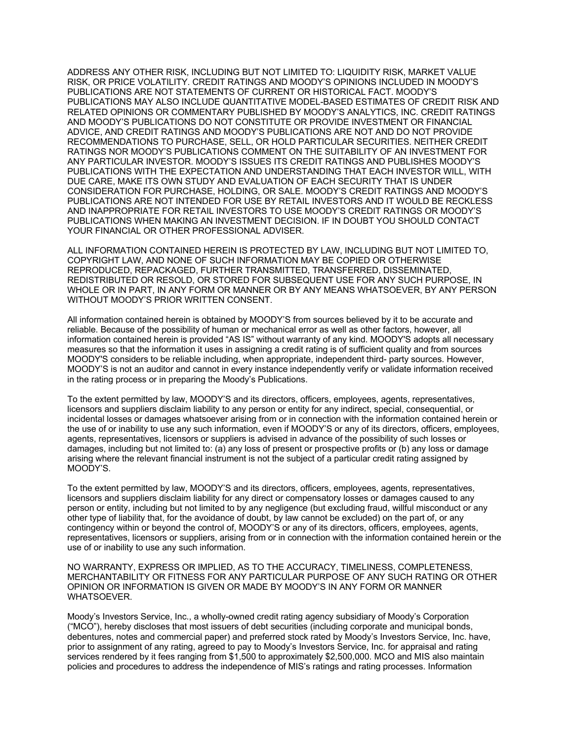ADDRESS ANY OTHER RISK, INCLUDING BUT NOT LIMITED TO: LIQUIDITY RISK, MARKET VALUE RISK, OR PRICE VOLATILITY. CREDIT RATINGS AND MOODY'S OPINIONS INCLUDED IN MOODY'S PUBLICATIONS ARE NOT STATEMENTS OF CURRENT OR HISTORICAL FACT. MOODY'S PUBLICATIONS MAY ALSO INCLUDE QUANTITATIVE MODEL-BASED ESTIMATES OF CREDIT RISK AND RELATED OPINIONS OR COMMENTARY PUBLISHED BY MOODY'S ANALYTICS, INC. CREDIT RATINGS AND MOODY'S PUBLICATIONS DO NOT CONSTITUTE OR PROVIDE INVESTMENT OR FINANCIAL ADVICE, AND CREDIT RATINGS AND MOODY'S PUBLICATIONS ARE NOT AND DO NOT PROVIDE RECOMMENDATIONS TO PURCHASE, SELL, OR HOLD PARTICULAR SECURITIES. NEITHER CREDIT RATINGS NOR MOODY'S PUBLICATIONS COMMENT ON THE SUITABILITY OF AN INVESTMENT FOR ANY PARTICULAR INVESTOR. MOODY'S ISSUES ITS CREDIT RATINGS AND PUBLISHES MOODY'S PUBLICATIONS WITH THE EXPECTATION AND UNDERSTANDING THAT EACH INVESTOR WILL, WITH DUE CARE, MAKE ITS OWN STUDY AND EVALUATION OF EACH SECURITY THAT IS UNDER CONSIDERATION FOR PURCHASE, HOLDING, OR SALE. MOODY'S CREDIT RATINGS AND MOODY'S PUBLICATIONS ARE NOT INTENDED FOR USE BY RETAIL INVESTORS AND IT WOULD BE RECKLESS AND INAPPROPRIATE FOR RETAIL INVESTORS TO USE MOODY'S CREDIT RATINGS OR MOODY'S PUBLICATIONS WHEN MAKING AN INVESTMENT DECISION. IF IN DOUBT YOU SHOULD CONTACT YOUR FINANCIAL OR OTHER PROFESSIONAL ADVISER.

ALL INFORMATION CONTAINED HEREIN IS PROTECTED BY LAW, INCLUDING BUT NOT LIMITED TO, COPYRIGHT LAW, AND NONE OF SUCH INFORMATION MAY BE COPIED OR OTHERWISE REPRODUCED, REPACKAGED, FURTHER TRANSMITTED, TRANSFERRED, DISSEMINATED, REDISTRIBUTED OR RESOLD, OR STORED FOR SUBSEQUENT USE FOR ANY SUCH PURPOSE, IN WHOLE OR IN PART, IN ANY FORM OR MANNER OR BY ANY MEANS WHATSOEVER, BY ANY PERSON WITHOUT MOODY'S PRIOR WRITTEN CONSENT.

All information contained herein is obtained by MOODY'S from sources believed by it to be accurate and reliable. Because of the possibility of human or mechanical error as well as other factors, however, all information contained herein is provided "AS IS" without warranty of any kind. MOODY'S adopts all necessary measures so that the information it uses in assigning a credit rating is of sufficient quality and from sources MOODY'S considers to be reliable including, when appropriate, independent third- party sources. However, MOODY'S is not an auditor and cannot in every instance independently verify or validate information received in the rating process or in preparing the Moody's Publications.

To the extent permitted by law, MOODY'S and its directors, officers, employees, agents, representatives, licensors and suppliers disclaim liability to any person or entity for any indirect, special, consequential, or incidental losses or damages whatsoever arising from or in connection with the information contained herein or the use of or inability to use any such information, even if MOODY'S or any of its directors, officers, employees, agents, representatives, licensors or suppliers is advised in advance of the possibility of such losses or damages, including but not limited to: (a) any loss of present or prospective profits or (b) any loss or damage arising where the relevant financial instrument is not the subject of a particular credit rating assigned by MOODY'S.

To the extent permitted by law, MOODY'S and its directors, officers, employees, agents, representatives, licensors and suppliers disclaim liability for any direct or compensatory losses or damages caused to any person or entity, including but not limited to by any negligence (but excluding fraud, willful misconduct or any other type of liability that, for the avoidance of doubt, by law cannot be excluded) on the part of, or any contingency within or beyond the control of, MOODY'S or any of its directors, officers, employees, agents, representatives, licensors or suppliers, arising from or in connection with the information contained herein or the use of or inability to use any such information.

NO WARRANTY, EXPRESS OR IMPLIED, AS TO THE ACCURACY, TIMELINESS, COMPLETENESS, MERCHANTABILITY OR FITNESS FOR ANY PARTICULAR PURPOSE OF ANY SUCH RATING OR OTHER OPINION OR INFORMATION IS GIVEN OR MADE BY MOODY'S IN ANY FORM OR MANNER WHATSOEVER.

Moody's Investors Service, Inc., a wholly-owned credit rating agency subsidiary of Moody's Corporation ("MCO"), hereby discloses that most issuers of debt securities (including corporate and municipal bonds, debentures, notes and commercial paper) and preferred stock rated by Moody's Investors Service, Inc. have, prior to assignment of any rating, agreed to pay to Moody's Investors Service, Inc. for appraisal and rating services rendered by it fees ranging from \$1,500 to approximately \$2,500,000. MCO and MIS also maintain policies and procedures to address the independence of MIS's ratings and rating processes. Information